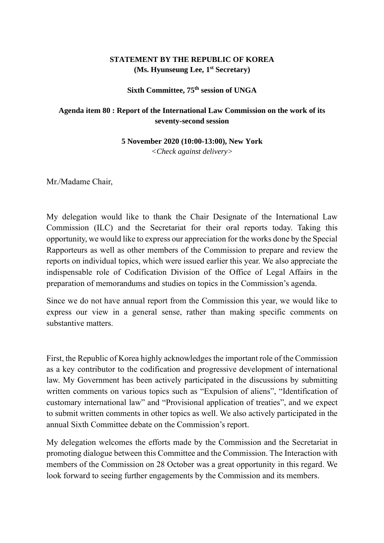## **STATEMENT BY THE REPUBLIC OF KOREA (Ms. Hyunseung Lee, 1 st Secretary)**

## **Sixth Committee, 75th session of UNGA**

## **Agenda item 80 : Report of the International Law Commission on the work of its seventy-second session**

**5 November 2020 (10:00-13:00), New York**

*<Check against delivery>*

Mr./Madame Chair,

My delegation would like to thank the Chair Designate of the International Law Commission (ILC) and the Secretariat for their oral reports today. Taking this opportunity, we would like to express our appreciation for the works done by the Special Rapporteurs as well as other members of the Commission to prepare and review the reports on individual topics, which were issued earlier this year. We also appreciate the indispensable role of Codification Division of the Office of Legal Affairs in the preparation of memorandums and studies on topics in the Commission's agenda.

Since we do not have annual report from the Commission this year, we would like to express our view in a general sense, rather than making specific comments on substantive matters.

First, the Republic of Korea highly acknowledges the important role of the Commission as a key contributor to the codification and progressive development of international law. My Government has been actively participated in the discussions by submitting written comments on various topics such as "Expulsion of aliens", "Identification of customary international law" and "Provisional application of treaties", and we expect to submit written comments in other topics as well. We also actively participated in the annual Sixth Committee debate on the Commission's report.

My delegation welcomes the efforts made by the Commission and the Secretariat in promoting dialogue between this Committee and the Commission. The Interaction with members of the Commission on 28 October was a great opportunity in this regard. We look forward to seeing further engagements by the Commission and its members.